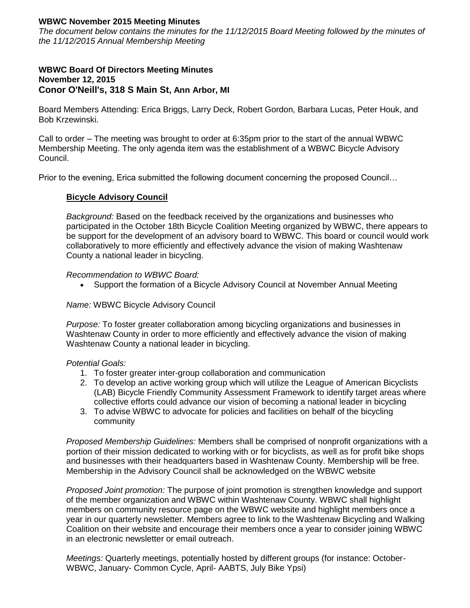# **WBWC November 2015 Meeting Minutes**

*The document below contains the minutes for the 11/12/2015 Board Meeting followed by the minutes of the 11/12/2015 Annual Membership Meeting*

### **WBWC Board Of Directors Meeting Minutes November 12, 2015 Conor O'Neill's, 318 S Main St, Ann Arbor, MI**

Board Members Attending: Erica Briggs, Larry Deck, Robert Gordon, Barbara Lucas, Peter Houk, and Bob Krzewinski.

Call to order – The meeting was brought to order at 6:35pm prior to the start of the annual WBWC Membership Meeting. The only agenda item was the establishment of a WBWC Bicycle Advisory Council.

Prior to the evening, Erica submitted the following document concerning the proposed Council…

## **Bicycle Advisory Council**

*Background:* Based on the feedback received by the organizations and businesses who participated in the October 18th Bicycle Coalition Meeting organized by WBWC, there appears to be support for the development of an advisory board to WBWC. This board or council would work collaboratively to more efficiently and effectively advance the vision of making Washtenaw County a national leader in bicycling.

## *Recommendation to WBWC Board:*

Support the formation of a Bicycle Advisory Council at November Annual Meeting

#### *Name:* WBWC Bicycle Advisory Council

*Purpose:* To foster greater collaboration among bicycling organizations and businesses in Washtenaw County in order to more efficiently and effectively advance the vision of making Washtenaw County a national leader in bicycling.

#### *Potential Goals:*

- 1. To foster greater inter-group collaboration and communication
- 2. To develop an active working group which will utilize the League of American Bicyclists (LAB) Bicycle Friendly Community Assessment Framework to identify target areas where collective efforts could advance our vision of becoming a national leader in bicycling
- 3. To advise WBWC to advocate for policies and facilities on behalf of the bicycling community

*Proposed Membership Guidelines:* Members shall be comprised of nonprofit organizations with a portion of their mission dedicated to working with or for bicyclists, as well as for profit bike shops and businesses with their headquarters based in Washtenaw County. Membership will be free. Membership in the Advisory Council shall be acknowledged on the WBWC website

*Proposed Joint promotion:* The purpose of joint promotion is strengthen knowledge and support of the member organization and WBWC within Washtenaw County. WBWC shall highlight members on community resource page on the WBWC website and highlight members once a year in our quarterly newsletter. Members agree to link to the Washtenaw Bicycling and Walking Coalition on their website and encourage their members once a year to consider joining WBWC in an electronic newsletter or email outreach.

*Meetings:* Quarterly meetings, potentially hosted by different groups (for instance: October-WBWC, January- Common Cycle, April- AABTS, July Bike Ypsi)